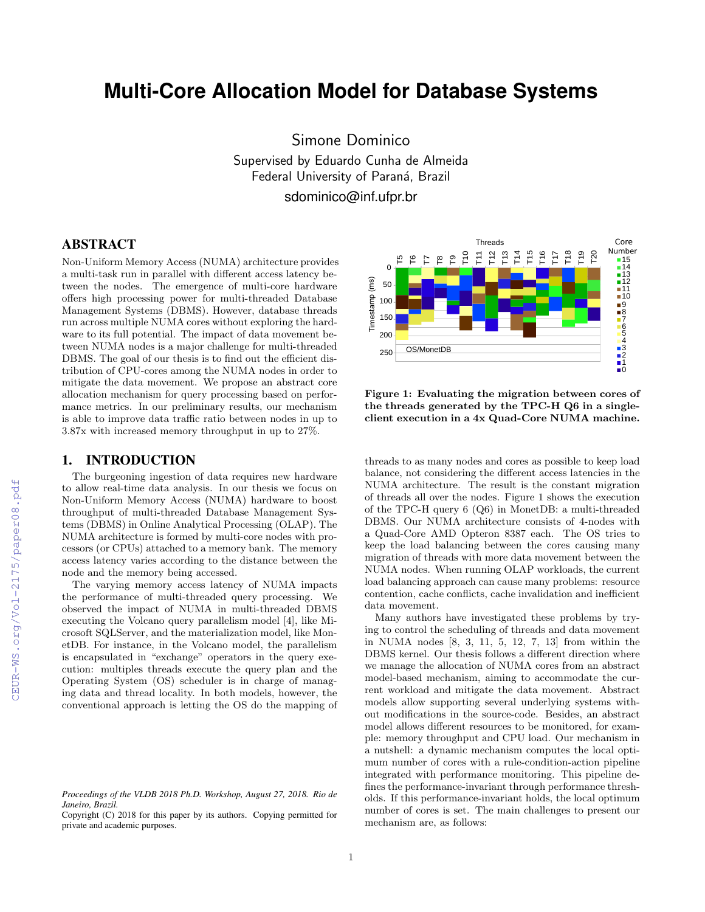# **Multi-Core Allocation Model for Database Systems**

Simone Dominico Supervised by Eduardo Cunha de Almeida Federal University of Paraná, Brazil sdominico@inf.ufpr.br

## ABSTRACT

Non-Uniform Memory Access (NUMA) architecture provides a multi-task run in parallel with different access latency between the nodes. The emergence of multi-core hardware offers high processing power for multi-threaded Database Management Systems (DBMS). However, database threads run across multiple NUMA cores without exploring the hardware to its full potential. The impact of data movement between NUMA nodes is a major challenge for multi-threaded DBMS. The goal of our thesis is to find out the efficient distribution of CPU-cores among the NUMA nodes in order to mitigate the data movement. We propose an abstract core allocation mechanism for query processing based on performance metrics. In our preliminary results, our mechanism is able to improve data traffic ratio between nodes in up to 3.87x with increased memory throughput in up to 27%.

## 1. INTRODUCTION

The burgeoning ingestion of data requires new hardware to allow real-time data analysis. In our thesis we focus on Non-Uniform Memory Access (NUMA) hardware to boost throughput of multi-threaded Database Management Systems (DBMS) in Online Analytical Processing (OLAP). The NUMA architecture is formed by multi-core nodes with processors (or CPUs) attached to a memory bank. The memory access latency varies according to the distance between the node and the memory being accessed.

The varying memory access latency of NUMA impacts the performance of multi-threaded query processing. We observed the impact of NUMA in multi-threaded DBMS executing the Volcano query parallelism model [4], like Microsoft SQLServer, and the materialization model, like MonetDB. For instance, in the Volcano model, the parallelism is encapsulated in "exchange" operators in the query execution: multiples threads execute the query plan and the Operating System (OS) scheduler is in charge of managing data and thread locality. In both models, however, the conventional approach is letting the OS do the mapping of



Figure 1: Evaluating the migration between cores of the threads generated by the TPC-H Q6 in a singleclient execution in a 4x Quad-Core NUMA machine.

threads to as many nodes and cores as possible to keep load balance, not considering the different access latencies in the NUMA architecture. The result is the constant migration of threads all over the nodes. Figure 1 shows the execution of the TPC-H query 6 (Q6) in MonetDB: a multi-threaded DBMS. Our NUMA architecture consists of 4-nodes with a Quad-Core AMD Opteron 8387 each. The OS tries to keep the load balancing between the cores causing many migration of threads with more data movement between the NUMA nodes. When running OLAP workloads, the current load balancing approach can cause many problems: resource contention, cache conflicts, cache invalidation and inefficient data movement.

Many authors have investigated these problems by trying to control the scheduling of threads and data movement in NUMA nodes [8, 3, 11, 5, 12, 7, 13] from within the DBMS kernel. Our thesis follows a different direction where we manage the allocation of NUMA cores from an abstract model-based mechanism, aiming to accommodate the current workload and mitigate the data movement. Abstract models allow supporting several underlying systems without modifications in the source-code. Besides, an abstract model allows different resources to be monitored, for example: memory throughput and CPU load. Our mechanism in a nutshell: a dynamic mechanism computes the local optimum number of cores with a rule-condition-action pipeline integrated with performance monitoring. This pipeline defines the performance-invariant through performance thresholds. If this performance-invariant holds, the local optimum number of cores is set. The main challenges to present our mechanism are, as follows:

*Proceedings of the VLDB 2018 Ph.D. Workshop, August 27, 2018. Rio de Janeiro, Brazil.*

Copyright (C) 2018 for this paper by its authors. Copying permitted for private and academic purposes.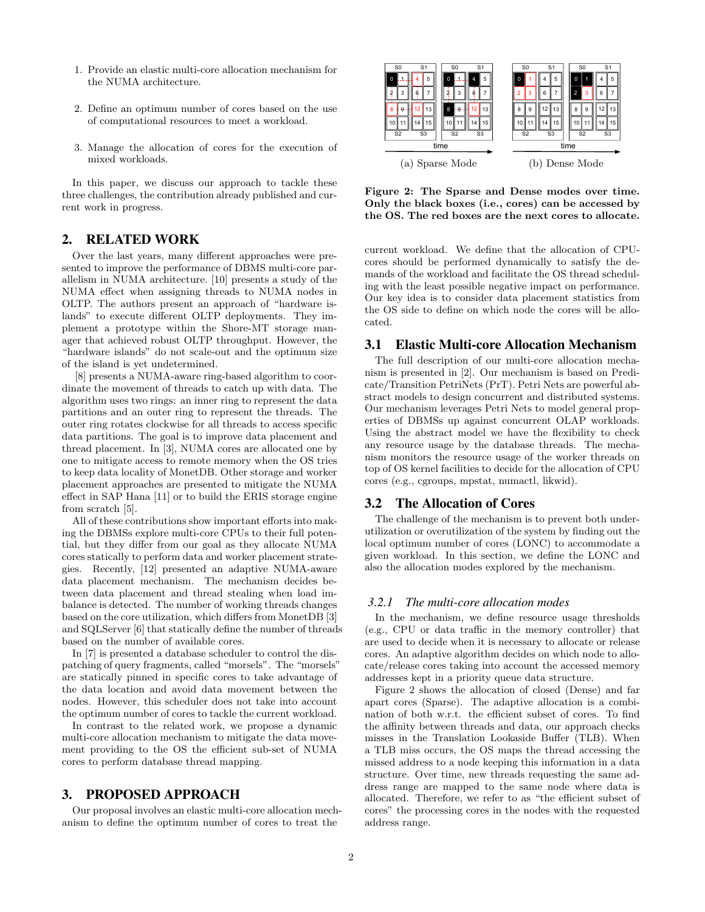- 1. Provide an elastic multi-core allocation mechanism for the NUMA architecture.
- 2. Define an optimum number of cores based on the use of computational resources to meet a workload.
- 3. Manage the allocation of cores for the execution of mixed workloads.

In this paper, we discuss our approach to tackle these three challenges, the contribution already published and current work in progress.

## 2. RELATED WORK

Over the last years, many different approaches were presented to improve the performance of DBMS multi-core parallelism in NUMA architecture. [10] presents a study of the NUMA effect when assigning threads to NUMA nodes in OLTP. The authors present an approach of "hardware islands" to execute different OLTP deployments. They implement a prototype within the Shore-MT storage manager that achieved robust OLTP throughput. However, the "hardware islands" do not scale-out and the optimum size of the island is yet undetermined.

[8] presents a NUMA-aware ring-based algorithm to coordinate the movement of threads to catch up with data. The algorithm uses two rings: an inner ring to represent the data partitions and an outer ring to represent the threads. The outer ring rotates clockwise for all threads to access specific data partitions. The goal is to improve data placement and thread placement. In [3], NUMA cores are allocated one by one to mitigate access to remote memory when the OS tries to keep data locality of MonetDB. Other storage and worker placement approaches are presented to mitigate the NUMA effect in SAP Hana [11] or to build the ERIS storage engine from scratch [5].

All of these contributions show important efforts into making the DBMSs explore multi-core CPUs to their full potential, but they differ from our goal as they allocate NUMA cores statically to perform data and worker placement strategies. Recently, [12] presented an adaptive NUMA-aware data placement mechanism. The mechanism decides between data placement and thread stealing when load imbalance is detected. The number of working threads changes based on the core utilization, which differs from MonetDB [3] and SQLServer [6] that statically define the number of threads based on the number of available cores.

In [7] is presented a database scheduler to control the dispatching of query fragments, called "morsels". The "morsels" are statically pinned in specific cores to take advantage of the data location and avoid data movement between the nodes. However, this scheduler does not take into account the optimum number of cores to tackle the current workload.

In contrast to the related work, we propose a dynamic multi-core allocation mechanism to mitigate the data movement providing to the OS the efficient sub-set of NUMA cores to perform database thread mapping.

## 3. PROPOSED APPROACH

Our proposal involves an elastic multi-core allocation mechanism to define the optimum number of cores to treat the



Figure 2: The Sparse and Dense modes over time. Only the black boxes (i.e., cores) can be accessed by the OS. The red boxes are the next cores to allocate.

current workload. We define that the allocation of CPUcores should be performed dynamically to satisfy the demands of the workload and facilitate the OS thread scheduling with the least possible negative impact on performance. Our key idea is to consider data placement statistics from the OS side to define on which node the cores will be allocated.

## 3.1 Elastic Multi-core Allocation Mechanism

The full description of our multi-core allocation mechanism is presented in [2]. Our mechanism is based on Predicate/Transition PetriNets (PrT). Petri Nets are powerful abstract models to design concurrent and distributed systems. Our mechanism leverages Petri Nets to model general properties of DBMSs up against concurrent OLAP workloads. Using the abstract model we have the flexibility to check any resource usage by the database threads. The mechanism monitors the resource usage of the worker threads on top of OS kernel facilities to decide for the allocation of CPU cores (e.g., cgroups, mpstat, numactl, likwid).

#### 3.2 The Allocation of Cores

The challenge of the mechanism is to prevent both underutilization or overutilization of the system by finding out the local optimum number of cores (LONC) to accommodate a given workload. In this section, we define the LONC and also the allocation modes explored by the mechanism.

#### *3.2.1 The multi-core allocation modes*

In the mechanism, we define resource usage thresholds (e.g., CPU or data traffic in the memory controller) that are used to decide when it is necessary to allocate or release cores. An adaptive algorithm decides on which node to allocate/release cores taking into account the accessed memory addresses kept in a priority queue data structure.

Figure 2 shows the allocation of closed (Dense) and far apart cores (Sparse). The adaptive allocation is a combination of both w.r.t. the efficient subset of cores. To find the affinity between threads and data, our approach checks misses in the Translation Lookaside Buffer (TLB). When a TLB miss occurs, the OS maps the thread accessing the missed address to a node keeping this information in a data structure. Over time, new threads requesting the same address range are mapped to the same node where data is allocated. Therefore, we refer to as "the efficient subset of cores" the processing cores in the nodes with the requested address range.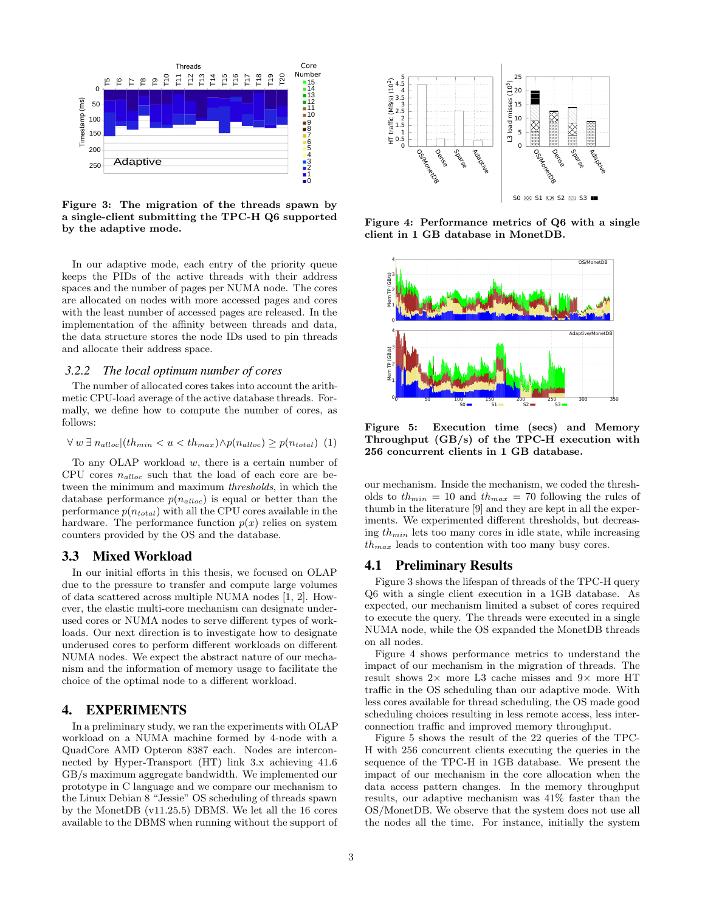

Figure 3: The migration of the threads spawn by a single-client submitting the TPC-H Q6 supported by the adaptive mode.

In our adaptive mode, each entry of the priority queue keeps the PIDs of the active threads with their address spaces and the number of pages per NUMA node. The cores are allocated on nodes with more accessed pages and cores with the least number of accessed pages are released. In the implementation of the affinity between threads and data, the data structure stores the node IDs used to pin threads and allocate their address space.

#### *3.2.2 The local optimum number of cores*

The number of allocated cores takes into account the arithmetic CPU-load average of the active database threads. Formally, we define how to compute the number of cores, as follows:

$$
\forall w \exists n_{alloc} | (th_{min} < u < th_{max}) \land p(n_{alloc}) \geq p(n_{total}) \quad (1)
$$

To any OLAP workload  $w$ , there is a certain number of CPU cores  $n_{alloc}$  such that the load of each core are between the minimum and maximum thresholds, in which the database performance  $p(n_{alloc})$  is equal or better than the performance  $p(n_{total})$  with all the CPU cores available in the hardware. The performance function  $p(x)$  relies on system counters provided by the OS and the database.

## 3.3 Mixed Workload

In our initial efforts in this thesis, we focused on OLAP due to the pressure to transfer and compute large volumes of data scattered across multiple NUMA nodes [1, 2]. However, the elastic multi-core mechanism can designate underused cores or NUMA nodes to serve different types of workloads. Our next direction is to investigate how to designate underused cores to perform different workloads on different NUMA nodes. We expect the abstract nature of our mechanism and the information of memory usage to facilitate the choice of the optimal node to a different workload.

## 4. EXPERIMENTS

In a preliminary study, we ran the experiments with OLAP workload on a NUMA machine formed by 4-node with a QuadCore AMD Opteron 8387 each. Nodes are interconnected by Hyper-Transport (HT) link 3.x achieving 41.6 GB/s maximum aggregate bandwidth. We implemented our prototype in C language and we compare our mechanism to the Linux Debian 8 "Jessie" OS scheduling of threads spawn by the MonetDB (v11.25.5) DBMS. We let all the 16 cores available to the DBMS when running without the support of



Figure 4: Performance metrics of Q6 with a single client in 1 GB database in MonetDB.



Figure 5: Execution time (secs) and Memory Throughput (GB/s) of the TPC-H execution with 256 concurrent clients in 1 GB database.

our mechanism. Inside the mechanism, we coded the thresholds to  $th_{min} = 10$  and  $th_{max} = 70$  following the rules of thumb in the literature [9] and they are kept in all the experiments. We experimented different thresholds, but decreasing  $th_{min}$  lets too many cores in idle state, while increasing  $th_{max}$  leads to contention with too many busy cores.

#### 4.1 Preliminary Results

Figure 3 shows the lifespan of threads of the TPC-H query Q6 with a single client execution in a 1GB database. As expected, our mechanism limited a subset of cores required to execute the query. The threads were executed in a single NUMA node, while the OS expanded the MonetDB threads on all nodes.

Figure 4 shows performance metrics to understand the impact of our mechanism in the migration of threads. The result shows  $2 \times$  more L3 cache misses and  $9 \times$  more HT traffic in the OS scheduling than our adaptive mode. With less cores available for thread scheduling, the OS made good scheduling choices resulting in less remote access, less interconnection traffic and improved memory throughput.

Figure 5 shows the result of the 22 queries of the TPC-H with 256 concurrent clients executing the queries in the sequence of the TPC-H in 1GB database. We present the impact of our mechanism in the core allocation when the data access pattern changes. In the memory throughput results, our adaptive mechanism was 41% faster than the OS/MonetDB. We observe that the system does not use all the nodes all the time. For instance, initially the system